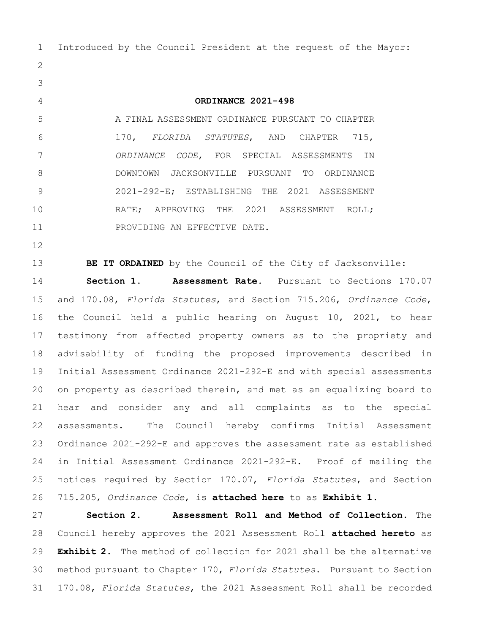Introduced by the Council President at the request of the Mayor:

## **ORDINANCE 2021-498**

5 A FINAL ASSESSMENT ORDINANCE PURSUANT TO CHAPTER 170, *FLORIDA STATUTES*, AND CHAPTER 715, *ORDINANCE CODE*, FOR SPECIAL ASSESSMENTS IN DOWNTOWN JACKSONVILLE PURSUANT TO ORDINANCE 2021-292-E; ESTABLISHING THE 2021 ASSESSMENT 10 RATE; APPROVING THE 2021 ASSESSMENT ROLL; 11 PROVIDING AN EFFECTIVE DATE.

**BE IT ORDAINED** by the Council of the City of Jacksonville:

 **Section 1. Assessment Rate.** Pursuant to Sections 170.07 and 170.08, *Florida Statutes*, and Section 715.206, *Ordinance Code*, the Council held a public hearing on August 10, 2021, to hear testimony from affected property owners as to the propriety and advisability of funding the proposed improvements described in Initial Assessment Ordinance 2021-292-E and with special assessments on property as described therein, and met as an equalizing board to hear and consider any and all complaints as to the special assessments. The Council hereby confirms Initial Assessment Ordinance 2021-292-E and approves the assessment rate as established in Initial Assessment Ordinance 2021-292-E. Proof of mailing the notices required by Section 170.07, *Florida Statutes*, and Section 715.205, *Ordinance Code*, is **attached here** to as **Exhibit 1**.

 **Section 2. Assessment Roll and Method of Collection.** The Council hereby approves the 2021 Assessment Roll **attached hereto** as **Exhibit 2**. The method of collection for 2021 shall be the alternative method pursuant to Chapter 170, *Florida Statutes*. Pursuant to Section 170.08, *Florida Statutes*, the 2021 Assessment Roll shall be recorded